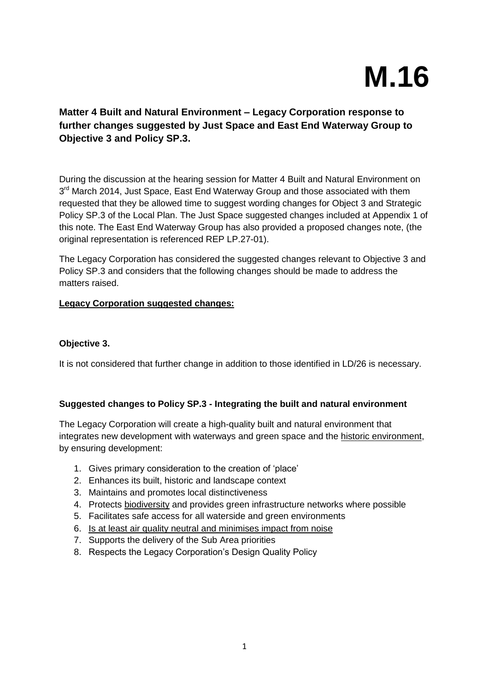# **M.16**

# **Matter 4 Built and Natural Environment – Legacy Corporation response to further changes suggested by Just Space and East End Waterway Group to Objective 3 and Policy SP.3.**

During the discussion at the hearing session for Matter 4 Built and Natural Environment on 3<sup>rd</sup> March 2014, Just Space, East End Waterway Group and those associated with them requested that they be allowed time to suggest wording changes for Object 3 and Strategic Policy SP.3 of the Local Plan. The Just Space suggested changes included at Appendix 1 of this note. The East End Waterway Group has also provided a proposed changes note, (the original representation is referenced REP LP.27-01).

The Legacy Corporation has considered the suggested changes relevant to Objective 3 and Policy SP.3 and considers that the following changes should be made to address the matters raised.

## **Legacy Corporation suggested changes:**

#### **Objective 3.**

It is not considered that further change in addition to those identified in LD/26 is necessary.

## **Suggested changes to Policy SP.3 - Integrating the built and natural environment**

The Legacy Corporation will create a high-quality built and natural environment that integrates new development with waterways and green space and the historic environment, by ensuring development:

- 1. Gives primary consideration to the creation of 'place'
- 2. Enhances its built, historic and landscape context
- 3. Maintains and promotes local distinctiveness
- 4. Protects biodiversity and provides green infrastructure networks where possible
- 5. Facilitates safe access for all waterside and green environments
- 6. Is at least air quality neutral and minimises impact from noise
- 7. Supports the delivery of the Sub Area priorities
- 8. Respects the Legacy Corporation's Design Quality Policy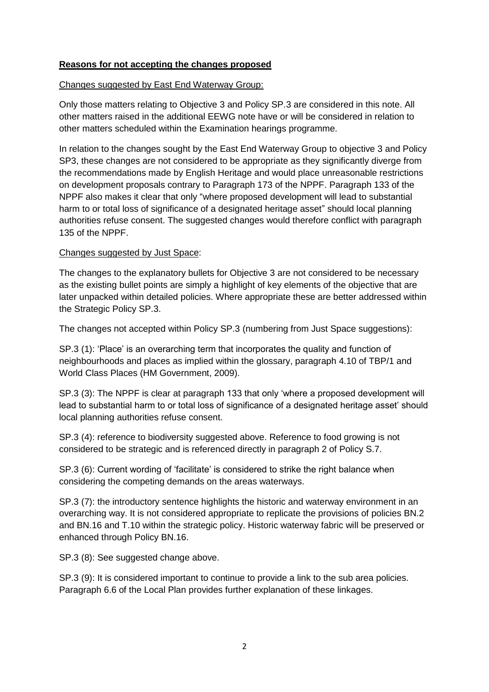## **Reasons for not accepting the changes proposed**

## Changes suggested by East End Waterway Group:

Only those matters relating to Objective 3 and Policy SP.3 are considered in this note. All other matters raised in the additional EEWG note have or will be considered in relation to other matters scheduled within the Examination hearings programme.

In relation to the changes sought by the East End Waterway Group to objective 3 and Policy SP3, these changes are not considered to be appropriate as they significantly diverge from the recommendations made by English Heritage and would place unreasonable restrictions on development proposals contrary to Paragraph 173 of the NPPF. Paragraph 133 of the NPPF also makes it clear that only "where proposed development will lead to substantial harm to or total loss of significance of a designated heritage asset" should local planning authorities refuse consent. The suggested changes would therefore conflict with paragraph 135 of the NPPF.

## Changes suggested by Just Space:

The changes to the explanatory bullets for Objective 3 are not considered to be necessary as the existing bullet points are simply a highlight of key elements of the objective that are later unpacked within detailed policies. Where appropriate these are better addressed within the Strategic Policy SP.3.

The changes not accepted within Policy SP.3 (numbering from Just Space suggestions):

SP.3 (1): 'Place' is an overarching term that incorporates the quality and function of neighbourhoods and places as implied within the glossary, paragraph 4.10 of TBP/1 and World Class Places (HM Government, 2009).

SP.3 (3): The NPPF is clear at paragraph 133 that only 'where a proposed development will lead to substantial harm to or total loss of significance of a designated heritage asset' should local planning authorities refuse consent.

SP.3 (4): reference to biodiversity suggested above. Reference to food growing is not considered to be strategic and is referenced directly in paragraph 2 of Policy S.7.

SP.3 (6): Current wording of 'facilitate' is considered to strike the right balance when considering the competing demands on the areas waterways.

SP.3 (7): the introductory sentence highlights the historic and waterway environment in an overarching way. It is not considered appropriate to replicate the provisions of policies BN.2 and BN.16 and T.10 within the strategic policy. Historic waterway fabric will be preserved or enhanced through Policy BN.16.

SP.3 (8): See suggested change above.

SP.3 (9): It is considered important to continue to provide a link to the sub area policies. Paragraph 6.6 of the Local Plan provides further explanation of these linkages.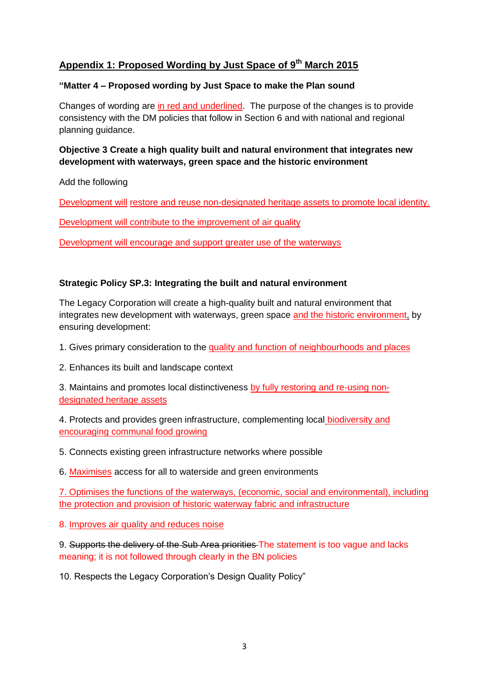# **Appendix 1: Proposed Wording by Just Space of 9th March 2015**

## **"Matter 4 – Proposed wording by Just Space to make the Plan sound**

Changes of wording are in red and underlined. The purpose of the changes is to provide consistency with the DM policies that follow in Section 6 and with national and regional planning guidance.

## **Objective 3 Create a high quality built and natural environment that integrates new development with waterways, green space and the historic environment**

Add the following

Development will restore and reuse non-designated heritage assets to promote local identity.

Development will contribute to the improvement of air quality

Development will encourage and support greater use of the waterways

## **Strategic Policy SP.3: Integrating the built and natural environment**

The Legacy Corporation will create a high-quality built and natural environment that integrates new development with waterways, green space and the historic environment, by ensuring development:

1. Gives primary consideration to the quality and function of neighbourhoods and places

2. Enhances its built and landscape context

3. Maintains and promotes local distinctiveness by fully restoring and re-using nondesignated heritage assets

4. Protects and provides green infrastructure, complementing local biodiversity and encouraging communal food growing

5. Connects existing green infrastructure networks where possible

6. Maximises access for all to waterside and green environments

7. Optimises the functions of the waterways, (economic, social and environmental), including the protection and provision of historic waterway fabric and infrastructure

8. Improves air quality and reduces noise

9. Supports the delivery of the Sub Area priorities The statement is too vague and lacks meaning; it is not followed through clearly in the BN policies

10. Respects the Legacy Corporation's Design Quality Policy"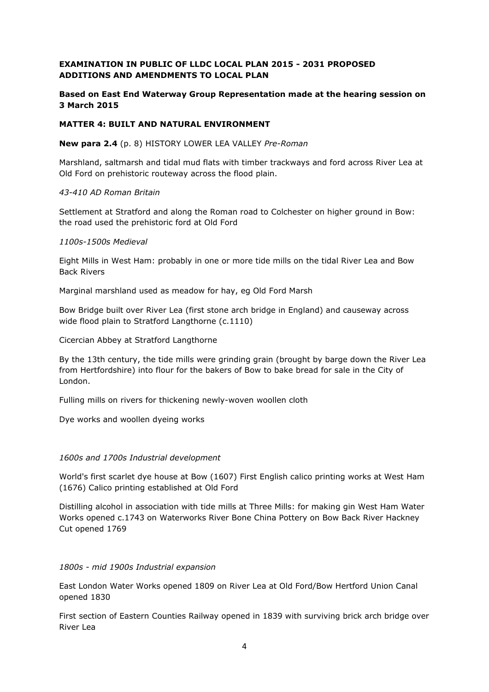#### **EXAMINATION IN PUBLIC OF LLDC LOCAL PLAN 2015 - 2031 PROPOSED ADDITIONS AND AMENDMENTS TO LOCAL PLAN**

#### **Based on East End Waterway Group Representation made at the hearing session on 3 March 2015**

#### **MATTER 4: BUILT AND NATURAL ENVIRONMENT**

#### **New para 2.4** (p. 8) HISTORY LOWER LEA VALLEY *Pre-Roman*

Marshland, saltmarsh and tidal mud flats with timber trackways and ford across River Lea at Old Ford on prehistoric routeway across the flood plain.

#### *43-410 AD Roman Britain*

Settlement at Stratford and along the Roman road to Colchester on higher ground in Bow: the road used the prehistoric ford at Old Ford

#### *1100s-1500s Medieval*

Eight Mills in West Ham: probably in one or more tide mills on the tidal River Lea and Bow Back Rivers

Marginal marshland used as meadow for hay, eg Old Ford Marsh

Bow Bridge built over River Lea (first stone arch bridge in England) and causeway across wide flood plain to Stratford Langthorne (c.1110)

Cicercian Abbey at Stratford Langthorne

By the 13th century, the tide mills were grinding grain (brought by barge down the River Lea from Hertfordshire) into flour for the bakers of Bow to bake bread for sale in the City of London.

Fulling mills on rivers for thickening newly-woven woollen cloth

Dye works and woollen dyeing works

#### *1600s and 1700s Industrial development*

World's first scarlet dye house at Bow (1607) First English calico printing works at West Ham (1676) Calico printing established at Old Ford

Distilling alcohol in association with tide mills at Three Mills: for making gin West Ham Water Works opened c.1743 on Waterworks River Bone China Pottery on Bow Back River Hackney Cut opened 1769

#### *1800s - mid 1900s Industrial expansion*

East London Water Works opened 1809 on River Lea at Old Ford/Bow Hertford Union Canal opened 1830

First section of Eastern Counties Railway opened in 1839 with surviving brick arch bridge over River Lea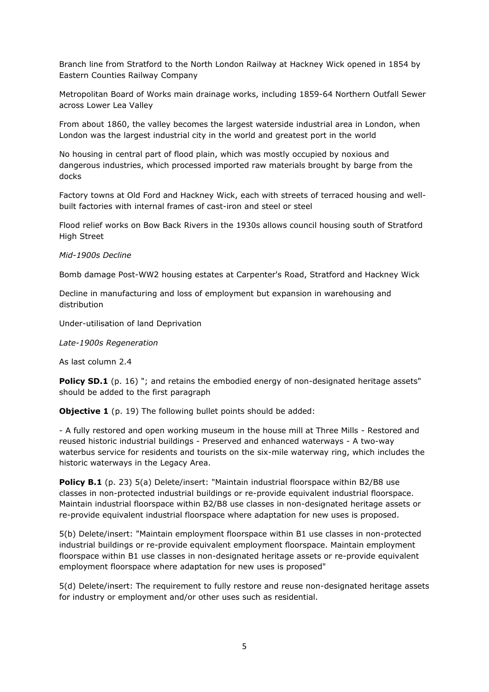Branch line from Stratford to the North London Railway at Hackney Wick opened in 1854 by Eastern Counties Railway Company

Metropolitan Board of Works main drainage works, including 1859-64 Northern Outfall Sewer across Lower Lea Valley

From about 1860, the valley becomes the largest waterside industrial area in London, when London was the largest industrial city in the world and greatest port in the world

No housing in central part of flood plain, which was mostly occupied by noxious and dangerous industries, which processed imported raw materials brought by barge from the docks

Factory towns at Old Ford and Hackney Wick, each with streets of terraced housing and wellbuilt factories with internal frames of cast-iron and steel or steel

Flood relief works on Bow Back Rivers in the 1930s allows council housing south of Stratford High Street

#### *Mid-1900s Decline*

Bomb damage Post-WW2 housing estates at Carpenter's Road, Stratford and Hackney Wick

Decline in manufacturing and loss of employment but expansion in warehousing and distribution

Under-utilisation of land Deprivation

*Late-1900s Regeneration*

As last column 2.4

Policy SD.1 (p. 16) "; and retains the embodied energy of non-designated heritage assets" should be added to the first paragraph

**Objective 1** (p. 19) The following bullet points should be added:

- A fully restored and open working museum in the house mill at Three Mills - Restored and reused historic industrial buildings - Preserved and enhanced waterways - A two-way waterbus service for residents and tourists on the six-mile waterway ring, which includes the historic waterways in the Legacy Area.

**Policy B.1** (p. 23) 5(a) Delete/insert: "Maintain industrial floorspace within B2/B8 use classes in non-protected industrial buildings or re-provide equivalent industrial floorspace. Maintain industrial floorspace within B2/B8 use classes in non-designated heritage assets or re-provide equivalent industrial floorspace where adaptation for new uses is proposed.

5(b) Delete/insert: "Maintain employment floorspace within B1 use classes in non-protected industrial buildings or re-provide equivalent employment floorspace. Maintain employment floorspace within B1 use classes in non-designated heritage assets or re-provide equivalent employment floorspace where adaptation for new uses is proposed"

5(d) Delete/insert: The requirement to fully restore and reuse non-designated heritage assets for industry or employment and/or other uses such as residential.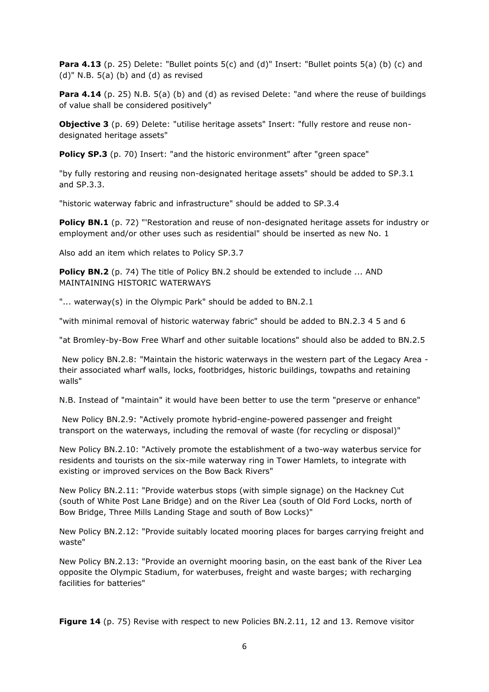**Para 4.13** (p. 25) Delete: "Bullet points 5(c) and (d)" Insert: "Bullet points 5(a) (b) (c) and  $(d)$ " N.B. 5(a) (b) and (d) as revised

**Para 4.14** (p. 25) N.B. 5(a) (b) and (d) as revised Delete: "and where the reuse of buildings of value shall be considered positively"

**Objective 3** (p. 69) Delete: "utilise heritage assets" Insert: "fully restore and reuse nondesignated heritage assets"

**Policy SP.3** (p. 70) Insert: "and the historic environment" after "green space"

"by fully restoring and reusing non-designated heritage assets" should be added to SP.3.1 and SP.3.3.

"historic waterway fabric and infrastructure" should be added to SP.3.4

**Policy BN.1** (p. 72) "'Restoration and reuse of non-designated heritage assets for industry or employment and/or other uses such as residential" should be inserted as new No. 1

Also add an item which relates to Policy SP.3.7

**Policy BN.2** (p. 74) The title of Policy BN.2 should be extended to include ... AND MAINTAINING HISTORIC WATERWAYS

"... waterway(s) in the Olympic Park" should be added to BN.2.1

"with minimal removal of historic waterway fabric" should be added to BN.2.3 4 5 and 6

"at Bromley-by-Bow Free Wharf and other suitable locations" should also be added to BN.2.5

New policy BN.2.8: "Maintain the historic waterways in the western part of the Legacy Area their associated wharf walls, locks, footbridges, historic buildings, towpaths and retaining walls"

N.B. Instead of "maintain" it would have been better to use the term "preserve or enhance"

New Policy BN.2.9: "Actively promote hybrid-engine-powered passenger and freight transport on the waterways, including the removal of waste (for recycling or disposal)"

New Policy BN.2.10: "Actively promote the establishment of a two-way waterbus service for residents and tourists on the six-mile waterway ring in Tower Hamlets, to integrate with existing or improved services on the Bow Back Rivers"

New Policy BN.2.11: "Provide waterbus stops (with simple signage) on the Hackney Cut (south of White Post Lane Bridge) and on the River Lea (south of Old Ford Locks, north of Bow Bridge, Three Mills Landing Stage and south of Bow Locks)"

New Policy BN.2.12: "Provide suitably located mooring places for barges carrying freight and waste"

New Policy BN.2.13: "Provide an overnight mooring basin, on the east bank of the River Lea opposite the Olympic Stadium, for waterbuses, freight and waste barges; with recharging facilities for batteries"

**Figure 14** (p. 75) Revise with respect to new Policies BN.2.11, 12 and 13. Remove visitor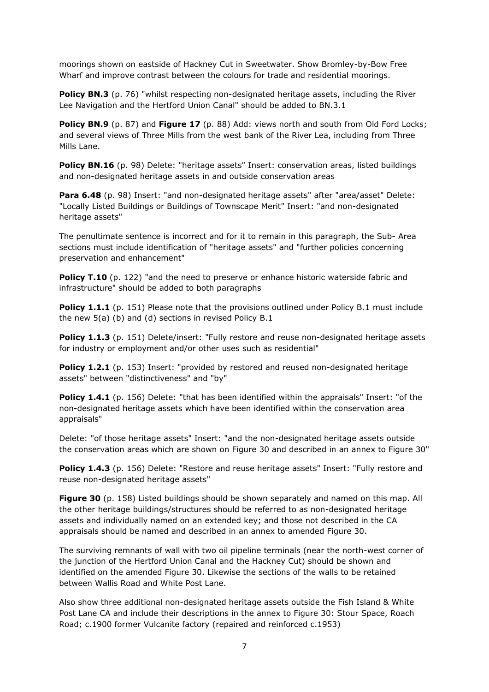moorings shown on eastside of Hackney Cut in Sweetwater. Show Bromley-by-Bow Free Wharf and improve contrast between the colours for trade and residential moorings.

**Policy BN.3** (p. 76) "whilst respecting non-designated heritage assets, including the River Lee Navigation and the Hertford Union Canal" should be added to BN.3.1

**Policy BN.9** (p. 87) and **Figure 17** (p. 88) Add: views north and south from Old Ford Locks; and several views of Three Mills from the west bank of the River Lea, including from Three Mills Lane.

**Policy BN.16** (p. 98) Delete: "heritage assets" Insert: conservation areas, listed buildings and non-designated heritage assets in and outside conservation areas

Para 6.48 (p. 98) Insert: "and non-designated heritage assets" after "area/asset" Delete: "Locally Listed Buildings or Buildings of Townscape Merit" Insert: "and non-designated heritage assets"

The penultimate sentence is incorrect and for it to remain in this paragraph, the Sub- Area sections must include identification of "heritage assets" and "further policies concerning preservation and enhancement"

**Policy T.10** (p. 122) "and the need to preserve or enhance historic waterside fabric and infrastructure" should be added to both paragraphs

**Policy 1.1.1** (p. 151) Please note that the provisions outlined under Policy B.1 must include the new 5(a) (b) and (d) sections in revised Policy B.1

**Policy 1.1.3** (p. 151) Delete/insert: "Fully restore and reuse non-designated heritage assets for industry or employment and/or other uses such as residential"

**Policy 1.2.1** (p. 153) Insert: "provided by restored and reused non-designated heritage assets" between "distinctiveness" and "by"

**Policy 1.4.1** (p. 156) Delete: "that has been identified within the appraisals" Insert: "of the non-designated heritage assets which have been identified within the conservation area appraisals"

Delete: "of those heritage assets" Insert: "and the non-designated heritage assets outside the conservation areas which are shown on Figure 30 and described in an annex to Figure 30"

**Policy 1.4.3** (p. 156) Delete: "Restore and reuse heritage assets" Insert: "Fully restore and reuse non-designated heritage assets"

**Figure 30** (p. 158) Listed buildings should be shown separately and named on this map. All the other heritage buildings/structures should be referred to as non-designated heritage assets and individually named on an extended key; and those not described in the CA appraisals should be named and described in an annex to amended Figure 30.

The surviving remnants of wall with two oil pipeline terminals (near the north-west corner of the junction of the Hertford Union Canal and the Hackney Cut) should be shown and identified on the amended Figure 30. Likewise the sections of the walls to be retained between Wallis Road and White Post Lane.

Also show three additional non-designated heritage assets outside the Fish Island & White Post Lane CA and include their descriptions in the annex to Figure 30: Stour Space, Roach Road; c.1900 former Vulcanite factory (repaired and reinforced c.1953)